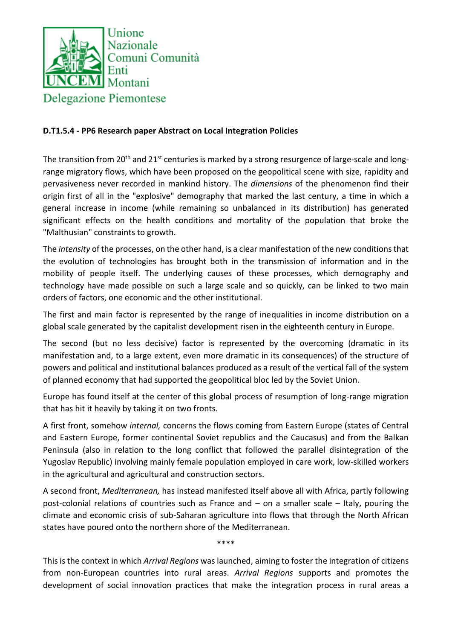

## **D.T1.5.4 - PP6 Research paper Abstract on Local Integration Policies**

The transition from 20<sup>th</sup> and 21<sup>st</sup> centuries is marked by a strong resurgence of large-scale and longrange migratory flows, which have been proposed on the geopolitical scene with size, rapidity and pervasiveness never recorded in mankind history. The *dimensions* of the phenomenon find their origin first of all in the "explosive" demography that marked the last century, a time in which a general increase in income (while remaining so unbalanced in its distribution) has generated significant effects on the health conditions and mortality of the population that broke the "Malthusian" constraints to growth.

The *intensity* of the processes, on the other hand, is a clear manifestation of the new conditions that the evolution of technologies has brought both in the transmission of information and in the mobility of people itself. The underlying causes of these processes, which demography and technology have made possible on such a large scale and so quickly, can be linked to two main orders of factors, one economic and the other institutional.

The first and main factor is represented by the range of inequalities in income distribution on a global scale generated by the capitalist development risen in the eighteenth century in Europe.

The second (but no less decisive) factor is represented by the overcoming (dramatic in its manifestation and, to a large extent, even more dramatic in its consequences) of the structure of powers and political and institutional balances produced as a result of the vertical fall of the system of planned economy that had supported the geopolitical bloc led by the Soviet Union.

Europe has found itself at the center of this global process of resumption of long-range migration that has hit it heavily by taking it on two fronts.

A first front, somehow *internal,* concerns the flows coming from Eastern Europe (states of Central and Eastern Europe, former continental Soviet republics and the Caucasus) and from the Balkan Peninsula (also in relation to the long conflict that followed the parallel disintegration of the Yugoslav Republic) involving mainly female population employed in care work, low-skilled workers in the agricultural and agricultural and construction sectors.

A second front, *Mediterranean,* has instead manifested itself above all with Africa, partly following post-colonial relations of countries such as France and – on a smaller scale – Italy, pouring the climate and economic crisis of sub-Saharan agriculture into flows that through the North African states have poured onto the northern shore of the Mediterranean.

This is the context in which *Arrival Regions* was launched, aiming to foster the integration of citizens from non-European countries into rural areas. *Arrival Regions* supports and promotes the development of social innovation practices that make the integration process in rural areas a

\*\*\*\*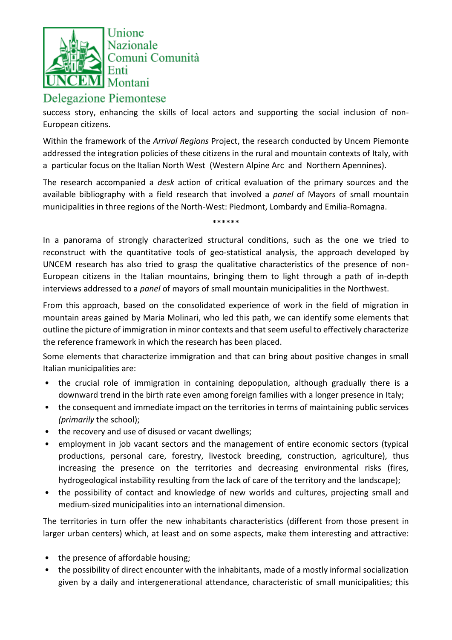

## **Delegazione Piemontese**

success story, enhancing the skills of local actors and supporting the social inclusion of non-European citizens.

Within the framework of the *Arrival Regions* Project, the research conducted by Uncem Piemonte addressed the integration policies of these citizens in the rural and mountain contexts of Italy, with a particular focus on the Italian North West (Western Alpine Arc and Northern Apennines).

The research accompanied a *desk* action of critical evaluation of the primary sources and the available bibliography with a field research that involved a *panel* of Mayors of small mountain municipalities in three regions of the North-West: Piedmont, Lombardy and Emilia-Romagna.

\*\*\*\*\*\*

In a panorama of strongly characterized structural conditions, such as the one we tried to reconstruct with the quantitative tools of geo-statistical analysis, the approach developed by UNCEM research has also tried to grasp the qualitative characteristics of the presence of non-European citizens in the Italian mountains, bringing them to light through a path of in-depth interviews addressed to a *panel* of mayors of small mountain municipalities in the Northwest.

From this approach, based on the consolidated experience of work in the field of migration in mountain areas gained by Maria Molinari, who led this path, we can identify some elements that outline the picture of immigration in minor contexts and that seem useful to effectively characterize the reference framework in which the research has been placed.

Some elements that characterize immigration and that can bring about positive changes in small Italian municipalities are:

- the crucial role of immigration in containing depopulation, although gradually there is a downward trend in the birth rate even among foreign families with a longer presence in Italy;
- the consequent and immediate impact on the territories in terms of maintaining public services *(primarily* the school);
- the recovery and use of disused or vacant dwellings;
- employment in job vacant sectors and the management of entire economic sectors (typical productions, personal care, forestry, livestock breeding, construction, agriculture), thus increasing the presence on the territories and decreasing environmental risks (fires, hydrogeological instability resulting from the lack of care of the territory and the landscape);
- the possibility of contact and knowledge of new worlds and cultures, projecting small and medium-sized municipalities into an international dimension.

The territories in turn offer the new inhabitants characteristics (different from those present in larger urban centers) which, at least and on some aspects, make them interesting and attractive:

- the presence of affordable housing;
- the possibility of direct encounter with the inhabitants, made of a mostly informal socialization given by a daily and intergenerational attendance, characteristic of small municipalities; this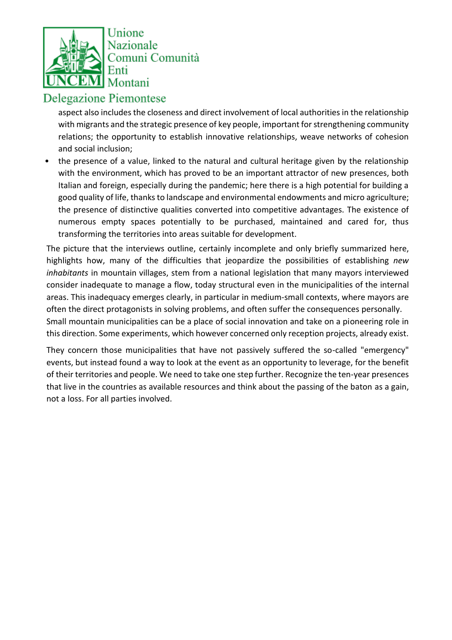

## **Delegazione Piemontese**

aspect also includes the closeness and direct involvement of local authorities in the relationship with migrants and the strategic presence of key people, important for strengthening community relations; the opportunity to establish innovative relationships, weave networks of cohesion and social inclusion;

• the presence of a value, linked to the natural and cultural heritage given by the relationship with the environment, which has proved to be an important attractor of new presences, both Italian and foreign, especially during the pandemic; here there is a high potential for building a good quality of life, thanks to landscape and environmental endowments and micro agriculture; the presence of distinctive qualities converted into competitive advantages. The existence of numerous empty spaces potentially to be purchased, maintained and cared for, thus transforming the territories into areas suitable for development.

The picture that the interviews outline, certainly incomplete and only briefly summarized here, highlights how, many of the difficulties that jeopardize the possibilities of establishing *new inhabitants* in mountain villages, stem from a national legislation that many mayors interviewed consider inadequate to manage a flow, today structural even in the municipalities of the internal areas. This inadequacy emerges clearly, in particular in medium-small contexts, where mayors are often the direct protagonists in solving problems, and often suffer the consequences personally. Small mountain municipalities can be a place of social innovation and take on a pioneering role in this direction. Some experiments, which however concerned only reception projects, already exist.

They concern those municipalities that have not passively suffered the so-called "emergency" events, but instead found a way to look at the event as an opportunity to leverage, for the benefit of their territories and people. We need to take one step further. Recognize the ten-year presences that live in the countries as available resources and think about the passing of the baton as a gain, not a loss. For all parties involved.